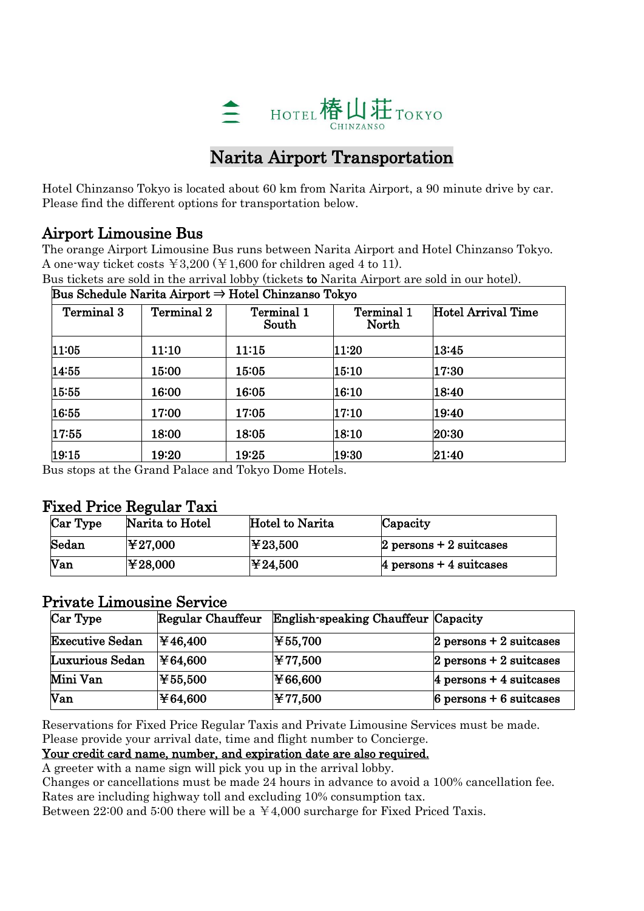

# Narita Airport Transportation

Hotel Chinzanso Tokyo is located about 60 km from Narita Airport, a 90 minute drive by car. Please find the different options for transportation below.

### Airport Limousine Bus

The orange Airport Limousine Bus runs between Narita Airport and Hotel Chinzanso Tokyo. A one-way ticket costs  $\text{\yen}3,200$  ( $\text{\yen}1,600$  for children aged 4 to 11).

|                   |            | Bus Schedule Narita Airport $\Rightarrow$ Hotel Chinzanso Tokyo |                     |                    |
|-------------------|------------|-----------------------------------------------------------------|---------------------|--------------------|
| <b>Terminal 3</b> | Terminal 2 | Terminal 1<br>South                                             | Terminal 1<br>North | Hotel Arrival Time |
| 11:05             | 11:10      | 11:15                                                           | 11:20               | 13:45              |
| 14:55             | 15:00      | 15:05                                                           | 15:10               | 17:30              |
| 15:55             | 16:00      | 16:05                                                           | 16:10               | 18:40              |
| 16:55             | 17:00      | 17:05                                                           | 17:10               | 19:40              |
| 17:55             | 18:00      | 18:05                                                           | 18:10               | 20:30              |
| 19:15             | 19:20      | 19:25                                                           | 19:30               | 21:40              |

Bus tickets are sold in the arrival lobby (tickets to Narita Airport are sold in our hotel).

Bus stops at the Grand Palace and Tokyo Dome Hotels.

### Fixed Price Regular Taxi

| Car Type | Narita to Hotel | Hotel to Narita | Capacity                           |
|----------|-----------------|-----------------|------------------------------------|
| Sedan    | ¥27,000         | ¥23,500∣        | $2$ persons $+2$ suitcases         |
| Van      | ¥28,000         | ¥24,500∣        | $ 4 \rangle$ persons + 4 suitcases |

## Private Limousine Service

| Car Type               | Regular Chauffeur | English-speaking Chauffeur Capacity |                           |
|------------------------|-------------------|-------------------------------------|---------------------------|
| <b>Executive Sedan</b> | ¥46,400           | ¥55,700                             | $2$ persons + 2 suitcases |
| Luxurious Sedan        | ¥64,600           | ¥77,500                             | $2$ persons + 2 suitcases |
| Mini Van               | ¥55,500           | ¥66,600                             | $4$ persons + 4 suitcases |
| Van                    | ¥64,600           | ¥77,500                             | $6$ persons + 6 suitcases |

Reservations for Fixed Price Regular Taxis and Private Limousine Services must be made. Please provide your arrival date, time and flight number to Concierge.

#### Your credit card name, number, and expiration date are also required.

A greeter with a name sign will pick you up in the arrival lobby.

Changes or cancellations must be made 24 hours in advance to avoid a 100% cancellation fee. Rates are including highway toll and excluding 10% consumption tax.

Between 22:00 and 5:00 there will be a  $\pm 4,000$  surcharge for Fixed Priced Taxis.